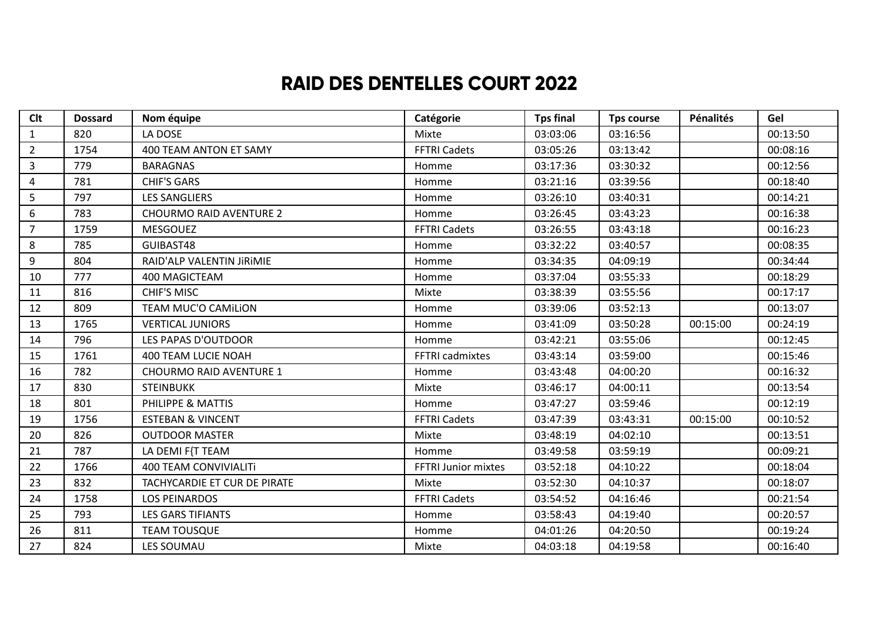## **RAID DES DENTELLES COURT 2022**

| <b>Clt</b>     | <b>Dossard</b> | Nom équipe                     | Catégorie                  | <b>Tps final</b> | <b>Tps course</b> | Pénalités | Gel      |
|----------------|----------------|--------------------------------|----------------------------|------------------|-------------------|-----------|----------|
| $\mathbf{1}$   | 820            | LA DOSE                        | Mixte                      | 03:03:06         | 03:16:56          |           | 00:13:50 |
| $\overline{2}$ | 1754           | 400 TEAM ANTON ET SAMY         | <b>FFTRI Cadets</b>        | 03:05:26         | 03:13:42          |           | 00:08:16 |
| $\mathsf{3}$   | 779            | <b>BARAGNAS</b>                | Homme                      | 03:17:36         | 03:30:32          |           | 00:12:56 |
| 4              | 781            | <b>CHIF'S GARS</b>             | Homme                      | 03:21:16         | 03:39:56          |           | 00:18:40 |
| 5              | 797            | <b>LES SANGLIERS</b>           | Homme                      | 03:26:10         | 03:40:31          |           | 00:14:21 |
| 6              | 783            | <b>CHOURMO RAID AVENTURE 2</b> | Homme                      | 03:26:45         | 03:43:23          |           | 00:16:38 |
| $\overline{7}$ | 1759           | <b>MESGOUEZ</b>                | <b>FFTRI Cadets</b>        | 03:26:55         | 03:43:18          |           | 00:16:23 |
| 8              | 785            | GUIBAST48                      | Homme                      | 03:32:22         | 03:40:57          |           | 00:08:35 |
| 9              | 804            | RAID'ALP VALENTIN JIRIMIE      | Homme                      | 03:34:35         | 04:09:19          |           | 00:34:44 |
| 10             | 777            | 400 MAGICTEAM                  | Homme                      | 03:37:04         | 03:55:33          |           | 00:18:29 |
| 11             | 816            | <b>CHIF'S MISC</b>             | Mixte                      | 03:38:39         | 03:55:56          |           | 00:17:17 |
| 12             | 809            | <b>TEAM MUC'O CAMILION</b>     | Homme                      | 03:39:06         | 03:52:13          |           | 00:13:07 |
| 13             | 1765           | <b>VERTICAL JUNIORS</b>        | Homme                      | 03:41:09         | 03:50:28          | 00:15:00  | 00:24:19 |
| 14             | 796            | LES PAPAS D'OUTDOOR            | Homme                      | 03:42:21         | 03:55:06          |           | 00:12:45 |
| 15             | 1761           | 400 TEAM LUCIE NOAH            | FFTRI cadmixtes            | 03:43:14         | 03:59:00          |           | 00:15:46 |
| 16             | 782            | <b>CHOURMO RAID AVENTURE 1</b> | Homme                      | 03:43:48         | 04:00:20          |           | 00:16:32 |
| 17             | 830            | <b>STEINBUKK</b>               | Mixte                      | 03:46:17         | 04:00:11          |           | 00:13:54 |
| 18             | 801            | PHILIPPE & MATTIS              | Homme                      | 03:47:27         | 03:59:46          |           | 00:12:19 |
| 19             | 1756           | <b>ESTEBAN &amp; VINCENT</b>   | <b>FFTRI Cadets</b>        | 03:47:39         | 03:43:31          | 00:15:00  | 00:10:52 |
| 20             | 826            | <b>OUTDOOR MASTER</b>          | Mixte                      | 03:48:19         | 04:02:10          |           | 00:13:51 |
| 21             | 787            | LA DEMI F{T TEAM               | Homme                      | 03:49:58         | 03:59:19          |           | 00:09:21 |
| 22             | 1766           | <b>400 TEAM CONVIVIALITI</b>   | <b>FFTRI Junior mixtes</b> | 03:52:18         | 04:10:22          |           | 00:18:04 |
| 23             | 832            | TACHYCARDIE ET CUR DE PIRATE   | Mixte                      | 03:52:30         | 04:10:37          |           | 00:18:07 |
| 24             | 1758           | <b>LOS PEINARDOS</b>           | <b>FFTRI Cadets</b>        | 03:54:52         | 04:16:46          |           | 00:21:54 |
| 25             | 793            | <b>LES GARS TIFIANTS</b>       | Homme                      | 03:58:43         | 04:19:40          |           | 00:20:57 |
| 26             | 811            | <b>TEAM TOUSQUE</b>            | Homme                      | 04:01:26         | 04:20:50          |           | 00:19:24 |
| 27             | 824            | <b>LES SOUMAU</b>              | Mixte                      | 04:03:18         | 04:19:58          |           | 00:16:40 |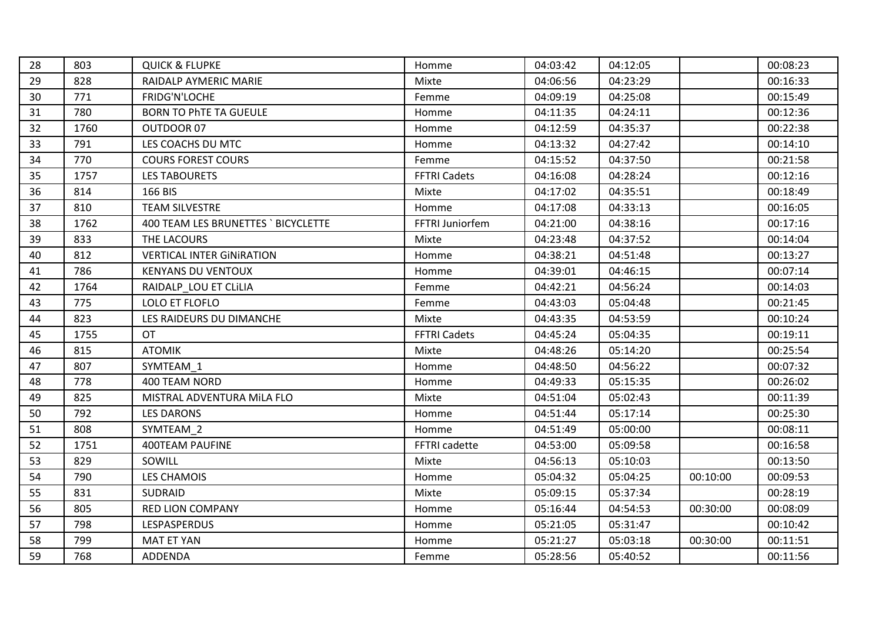| 28 | 803  | <b>QUICK &amp; FLUPKE</b>          | Homme               | 04:03:42 | 04:12:05 |          | 00:08:23 |
|----|------|------------------------------------|---------------------|----------|----------|----------|----------|
| 29 | 828  | RAIDALP AYMERIC MARIE              | Mixte               | 04:06:56 | 04:23:29 |          | 00:16:33 |
| 30 | 771  | FRIDG'N'LOCHE                      | Femme               | 04:09:19 | 04:25:08 |          | 00:15:49 |
| 31 | 780  | <b>BORN TO PHTE TA GUEULE</b>      | Homme               | 04:11:35 | 04:24:11 |          | 00:12:36 |
| 32 | 1760 | OUTDOOR 07                         | Homme               | 04:12:59 | 04:35:37 |          | 00:22:38 |
| 33 | 791  | LES COACHS DU MTC                  | Homme               | 04:13:32 | 04:27:42 |          | 00:14:10 |
| 34 | 770  | <b>COURS FOREST COURS</b>          | Femme               | 04:15:52 | 04:37:50 |          | 00:21:58 |
| 35 | 1757 | <b>LES TABOURETS</b>               | <b>FFTRI Cadets</b> | 04:16:08 | 04:28:24 |          | 00:12:16 |
| 36 | 814  | 166 BIS                            | Mixte               | 04:17:02 | 04:35:51 |          | 00:18:49 |
| 37 | 810  | <b>TEAM SILVESTRE</b>              | Homme               | 04:17:08 | 04:33:13 |          | 00:16:05 |
| 38 | 1762 | 400 TEAM LES BRUNETTES `BICYCLETTE | FFTRI Juniorfem     | 04:21:00 | 04:38:16 |          | 00:17:16 |
| 39 | 833  | THE LACOURS                        | Mixte               | 04:23:48 | 04:37:52 |          | 00:14:04 |
| 40 | 812  | <b>VERTICAL INTER GINIRATION</b>   | Homme               | 04:38:21 | 04:51:48 |          | 00:13:27 |
| 41 | 786  | <b>KENYANS DU VENTOUX</b>          | Homme               | 04:39:01 | 04:46:15 |          | 00:07:14 |
| 42 | 1764 | RAIDALP_LOU ET CLILIA              | Femme               | 04:42:21 | 04:56:24 |          | 00:14:03 |
| 43 | 775  | LOLO ET FLOFLO                     | Femme               | 04:43:03 | 05:04:48 |          | 00:21:45 |
| 44 | 823  | LES RAIDEURS DU DIMANCHE           | Mixte               | 04:43:35 | 04:53:59 |          | 00:10:24 |
| 45 | 1755 | OT                                 | <b>FFTRI Cadets</b> | 04:45:24 | 05:04:35 |          | 00:19:11 |
| 46 | 815  | <b>ATOMIK</b>                      | Mixte               | 04:48:26 | 05:14:20 |          | 00:25:54 |
| 47 | 807  | SYMTEAM 1                          | Homme               | 04:48:50 | 04:56:22 |          | 00:07:32 |
| 48 | 778  | 400 TEAM NORD                      | Homme               | 04:49:33 | 05:15:35 |          | 00:26:02 |
| 49 | 825  | MISTRAL ADVENTURA MILA FLO         | Mixte               | 04:51:04 | 05:02:43 |          | 00:11:39 |
| 50 | 792  | <b>LES DARONS</b>                  | Homme               | 04:51:44 | 05:17:14 |          | 00:25:30 |
| 51 | 808  | SYMTEAM 2                          | Homme               | 04:51:49 | 05:00:00 |          | 00:08:11 |
| 52 | 1751 | <b>400TEAM PAUFINE</b>             | FFTRI cadette       | 04:53:00 | 05:09:58 |          | 00:16:58 |
| 53 | 829  | SOWILL                             | Mixte               | 04:56:13 | 05:10:03 |          | 00:13:50 |
| 54 | 790  | <b>LES CHAMOIS</b>                 | Homme               | 05:04:32 | 05:04:25 | 00:10:00 | 00:09:53 |
| 55 | 831  | <b>SUDRAID</b>                     | Mixte               | 05:09:15 | 05:37:34 |          | 00:28:19 |
| 56 | 805  | <b>RED LION COMPANY</b>            | Homme               | 05:16:44 | 04:54:53 | 00:30:00 | 00:08:09 |
| 57 | 798  | LESPASPERDUS                       | Homme               | 05:21:05 | 05:31:47 |          | 00:10:42 |
| 58 | 799  | <b>MAT ET YAN</b>                  | Homme               | 05:21:27 | 05:03:18 | 00:30:00 | 00:11:51 |
| 59 | 768  | ADDENDA                            | Femme               | 05:28:56 | 05:40:52 |          | 00:11:56 |